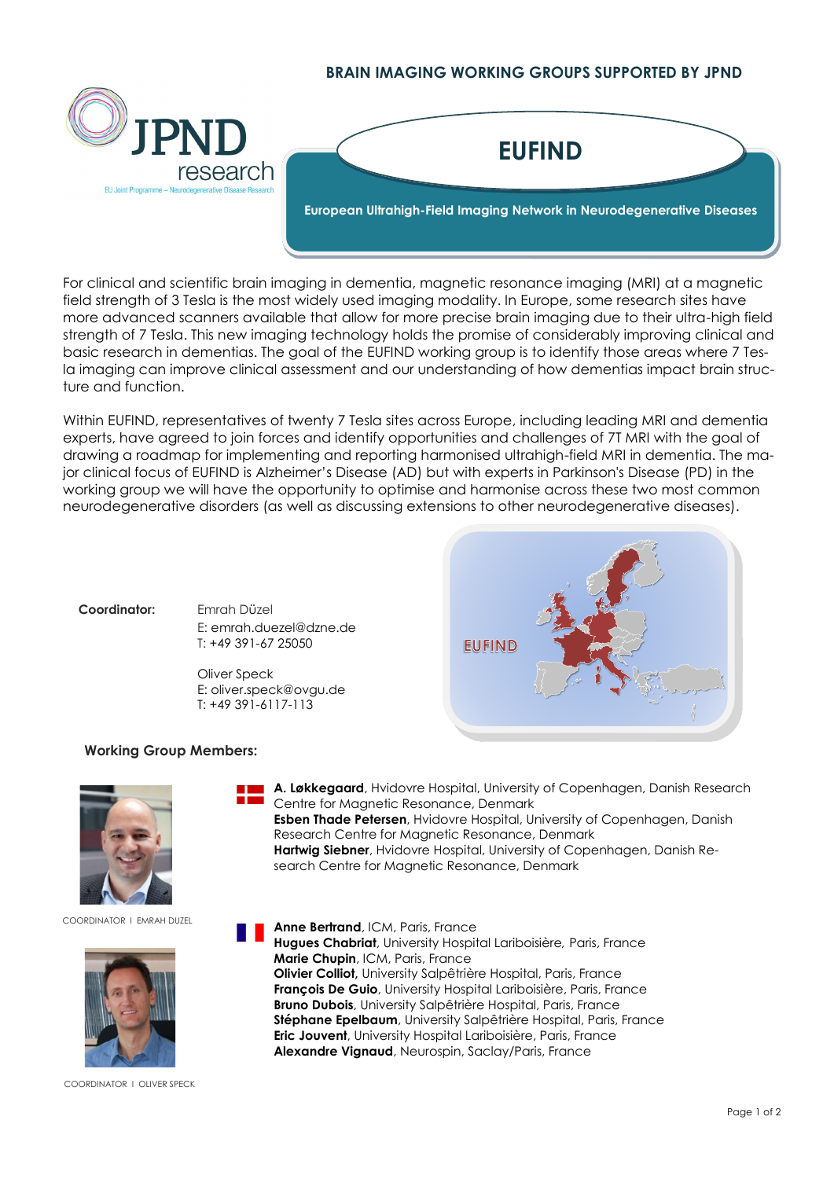## **BRAIN IMAGING WORKING GROUPS SUPPORTED BY JPND**



For clinical and scientific brain imaging in dementia, magnetic resonance imaging (MRI) at a magnetic field strength of 3 Tesla is the most widely used imaging modality. In Europe, some research sites have more advanced scanners available that allow for more precise brain imaging due to their ultra-high field strength of 7 Tesla. This new imaging technology holds the promise of considerably improving clinical and basic research in dementias. The goal of the EUFIND working group is to identify those areas where 7 Tesla imaging can improve clinical assessment and our understanding of how dementias impact brain structure and function.

Within EUFIND, representatives of twenty 7 Tesla sites across Europe, including leading MRI and dementia experts, have agreed to join forces and identify opportunities and challenges of 7T MRI with the goal of drawing a roadmap for implementing and reporting harmonised ultrahigh-field MRI in dementia. The major clinical focus of EUFIND is Alzheimer's Disease (AD) but with experts in Parkinson's Disease (PD) in the working group we will have the opportunity to optimise and harmonise across these two most common neurodegenerative disorders (as well as discussing extensions to other neurodegenerative diseases).

**Coordinator:** Emrah Düzel E: emrah.duezel@dzne.de T: +49 391-67 25050

> Oliver Speck E: oliver.speck@ovgu.de T: +49 391-6117-113



## **Working Group Members:**



COORDINATOR I EMRAH DUZEL



COORDINATOR I OLIVER SPECK

- **A. Løkkegaard**, Hvidovre Hospital, University of Copenhagen, Danish Research Centre for Magnetic Resonance, Denmark **Esben Thade Petersen**, Hvidovre Hospital, University of Copenhagen, Danish Research Centre for Magnetic Resonance, Denmark **Hartwig Siebner**, Hvidovre Hospital, University of Copenhagen, Danish Research Centre for Magnetic Resonance, Denmark
	- **Anne Bertrand**, ICM, Paris, France

**Hugues Chabriat**, University Hospital Lariboisière*,* Paris, France **Marie Chupin**, ICM, Paris, France **Olivier Colliot,** University Salpêtrière Hospital, Paris, France **François De Guio**, University Hospital Lariboisière, Paris, France **Bruno Dubois**, University Salpêtrière Hospital, Paris, France **Stéphane Epelbaum**, University Salpêtrière Hospital, Paris, France **Eric Jouvent**, University Hospital Lariboisière, Paris, France **Alexandre Vignaud**, Neurospin, Saclay/Paris, France